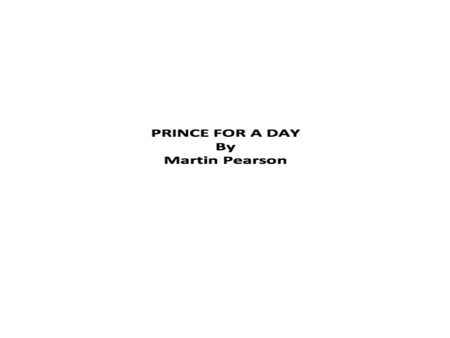**PRINCE FOR A DAY** By **Martin Pearson**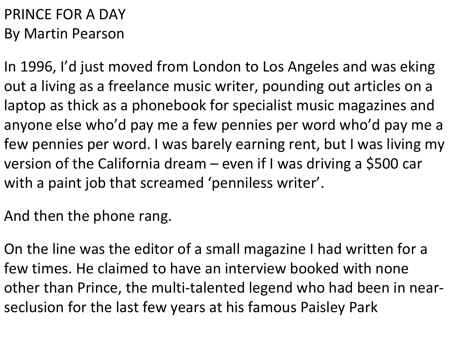## PRINCE FOR A DAY By Martin Pearson

In 1996, I'd just moved from London to Los Angeles and was eking out a living as a freelance music writer, pounding out articles on a laptop as thick as a phonebook for specialist music magazines and anyone else who'd pay me a few pennies per word who'd pay me a few pennies per word. I was barely earning rent, but I was living my version of the California dream – even if I was driving a \$500 car with a paint job that screamed 'penniless writer'.

And then the phone rang.

On the line was the editor of a small magazine I had written for a few times. He claimed to have an interview booked with none other than Prince, the multi-talented legend who had been in nearseclusion for the last few years at his famous Paisley Park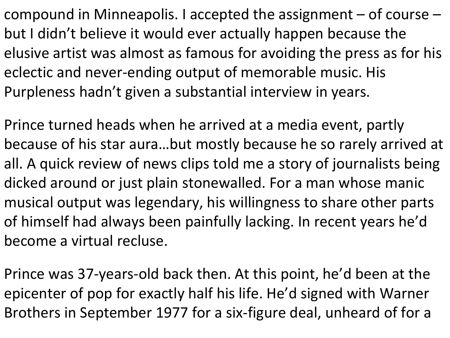compound in Minneapolis. I accepted the assignment  $-$  of course  $$ but I didn't believe it would ever actually happen because the elusive artist was almost as famous for avoiding the press as for his eclectic and never-ending output of memorable music. His Purpleness hadn't given a substantial interview in years.

Prince turned heads when he arrived at a media event, partly because of his star aura…but mostly because he so rarely arrived at all. A quick review of news clips told me a story of journalists being dicked around or just plain stonewalled. For a man whose manic musical output was legendary, his willingness to share other parts of himself had always been painfully lacking. In recent years he'd become a virtual recluse.

Prince was 37-years-old back then. At this point, he'd been at the epicenter of pop for exactly half his life. He'd signed with Warner Brothers in September 1977 for a six-figure deal, unheard of for a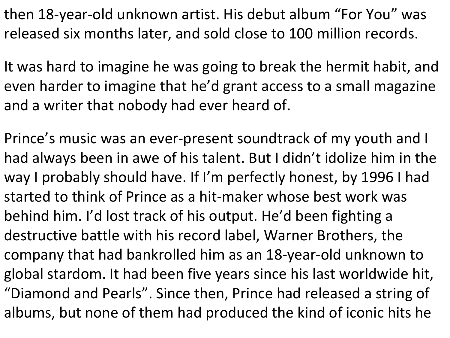then 18-year-old unknown artist. His debut album "For You" was released six months later, and sold close to 100 million records.

It was hard to imagine he was going to break the hermit habit, and even harder to imagine that he'd grant access to a small magazine and a writer that nobody had ever heard of.

Prince's music was an ever-present soundtrack of my youth and I had always been in awe of his talent. But I didn't idolize him in the way I probably should have. If I'm perfectly honest, by 1996 I had started to think of Prince as a hit-maker whose best work was behind him. I'd lost track of his output. He'd been fighting a destructive battle with his record label, Warner Brothers, the company that had bankrolled him as an 18-year-old unknown to global stardom. It had been five years since his last worldwide hit, "Diamond and Pearls". Since then, Prince had released a string of albums, but none of them had produced the kind of iconic hits he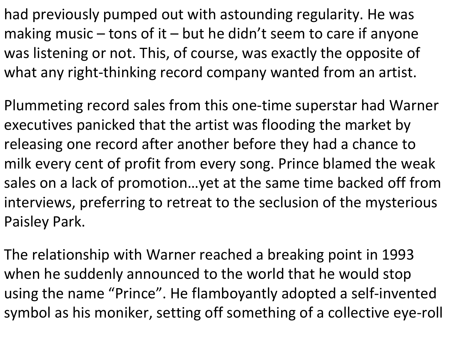had previously pumped out with astounding regularity. He was making music – tons of it – but he didn't seem to care if anyone was listening or not. This, of course, was exactly the opposite of what any right-thinking record company wanted from an artist.

Plummeting record sales from this one-time superstar had Warner executives panicked that the artist was flooding the market by releasing one record after another before they had a chance to milk every cent of profit from every song. Prince blamed the weak sales on a lack of promotion…yet at the same time backed off from interviews, preferring to retreat to the seclusion of the mysterious Paisley Park.

The relationship with Warner reached a breaking point in 1993 when he suddenly announced to the world that he would stop using the name "Prince". He flamboyantly adopted a self-invented symbol as his moniker, setting off something of a collective eye-roll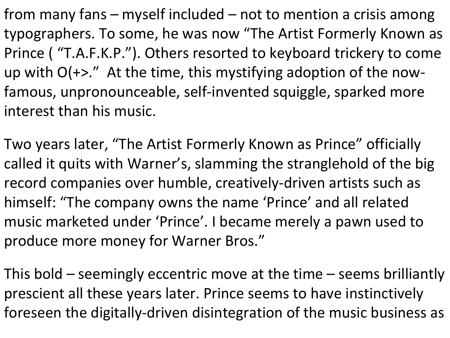from many fans – myself included – not to mention a crisis among typographers. To some, he was now "The Artist Formerly Known as Prince ( "T.A.F.K.P."). Others resorted to keyboard trickery to come up with O(+>." At the time, this mystifying adoption of the nowfamous, unpronounceable, self-invented squiggle, sparked more interest than his music.

Two years later, "The Artist Formerly Known as Prince" officially called it quits with Warner's, slamming the stranglehold of the big record companies over humble, creatively-driven artists such as himself: "The company owns the name 'Prince' and all related music marketed under 'Prince'. I became merely a pawn used to produce more money for Warner Bros."

This bold – seemingly eccentric move at the time – seems brilliantly prescient all these years later. Prince seems to have instinctively foreseen the digitally-driven disintegration of the music business as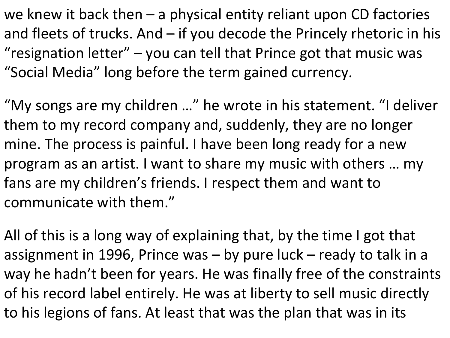we knew it back then  $-$  a physical entity reliant upon CD factories and fleets of trucks. And  $-$  if you decode the Princely rhetoric in his "resignation letter"  $-$  you can tell that Prince got that music was "Social Media" long before the term gained currency.

"My songs are my children …" he wrote in his statement. "I deliver them to my record company and, suddenly, they are no longer mine. The process is painful. I have been long ready for a new program as an artist. I want to share my music with others … my fans are my children's friends. I respect them and want to communicate with them."

All of this is a long way of explaining that, by the time I got that assignment in 1996, Prince was – by pure luck – ready to talk in a way he hadn't been for years. He was finally free of the constraints of his record label entirely. He was at liberty to sell music directly to his legions of fans. At least that was the plan that was in its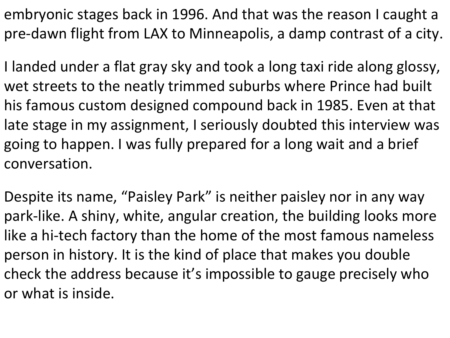embryonic stages back in 1996. And that was the reason I caught a pre-dawn flight from LAX to Minneapolis, a damp contrast of a city.

I landed under a flat gray sky and took a long taxi ride along glossy, wet streets to the neatly trimmed suburbs where Prince had built his famous custom designed compound back in 1985. Even at that late stage in my assignment, I seriously doubted this interview was going to happen. I was fully prepared for a long wait and a brief conversation.

Despite its name, "Paisley Park" is neither paisley nor in any way park-like. A shiny, white, angular creation, the building looks more like a hi-tech factory than the home of the most famous nameless person in history. It is the kind of place that makes you double check the address because it's impossible to gauge precisely who or what is inside.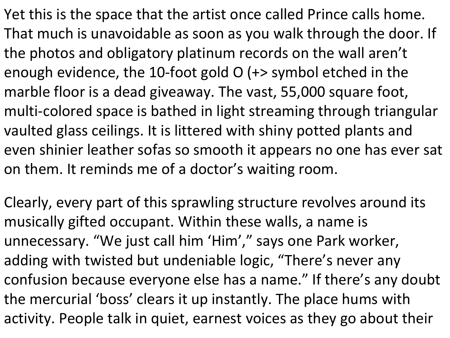Yet this is the space that the artist once called Prince calls home. That much is unavoidable as soon as you walk through the door. If the photos and obligatory platinum records on the wall aren't enough evidence, the 10-foot gold O (+> symbol etched in the marble floor is a dead giveaway. The vast, 55,000 square foot, multi-colored space is bathed in light streaming through triangular vaulted glass ceilings. It is littered with shiny potted plants and even shinier leather sofas so smooth it appears no one has ever sat on them. It reminds me of a doctor's waiting room.

Clearly, every part of this sprawling structure revolves around its musically gifted occupant. Within these walls, a name is unnecessary. "We just call him 'Him' , " says one Park worker, adding with twisted but undeniable logic, "There's never any confusion because everyone else has a name." If there's any doubt the mercurial 'boss' clears it up instantly. The place hums with activity. People talk in quiet, earnest voices as they go about their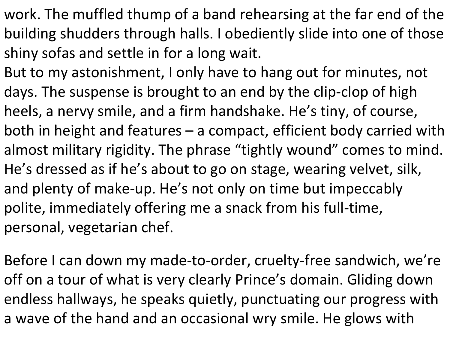- work. The muffled thump of a band rehearsing at the far end of the building shudders through halls. I obediently slide into one of those shiny sofas and settle in for a long wait.
- But to my astonishment, I only have to hang out for minutes, not days. The suspense is brought to an end by the clip-clop of high heels, a nervy smile, and a firm handshake. He's tiny, of course, both in height and features – a compact, efficient body carried with almost military rigidity. The phrase "tightly wound" comes to mind. He's dressed as if he's about to go on stage, wearing velvet, silk, and plenty of make-up. He's not only on time but impeccably polite, immediately offering me a snack from his full-time, personal, vegetarian chef.
- Before I can down my made-to-order, cruelty-free sandwich, we're off on a tour of what is very clearly Prince's domain. Gliding down endless hallways, he speaks quietly, punctuating our progress with a wave of the hand and an occasional wry smile. He glows with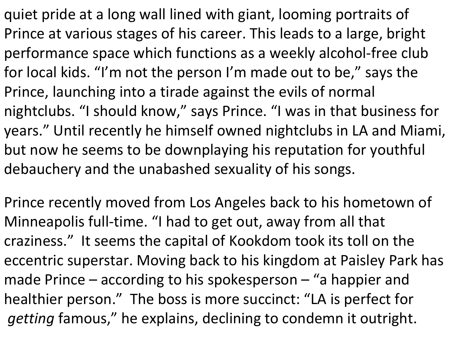quiet pride at a long wall lined with giant, looming portraits of Prince at various stages of his career. This leads to a large, bright performance space which functions as a weekly alcohol-free club for local kids. "I'm not the person I'm made out to be, " says the Prince, launching into a tirade against the evils of normal nightclubs. "I should know, " says Prince. "I was in that business for years." Until recently he himself owned nightclubs in LA and Miami, but now he seems to be downplaying his reputation for youthful debauchery and the unabashed sexuality of his songs.

Prince recently moved from Los Angeles back to his hometown of Minneapolis full-time. "I had to get out, away from all that craziness." It seems the capital of Kookdom took its toll on the eccentric superstar. Moving back to his kingdom at Paisley Park has made Prince – according to his spokesperson – "a happier and healthier person." The boss is more succinct: "LA is perfect for *getting* famous, " he explains, declining to condemn it outright.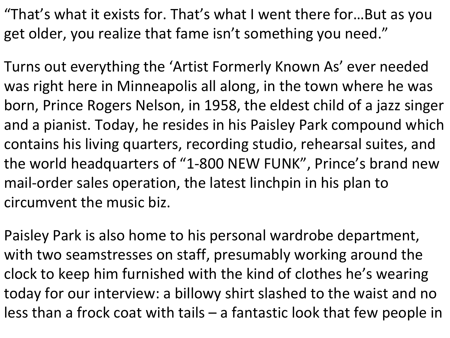"That's what it exists for. That's what I went there for…But as you get older, you realize that fame isn't something you need."

Turns out everything the 'Artist Formerly Known As' ever needed was right here in Minneapolis all along, in the town where he was born, Prince Rogers Nelson, in 1958, the eldest child of a jazz singer and a pianist. Today, he resides in his Paisley Park compound which contains his living quarters, recording studio, rehearsal suites, and the world headquarters of "1-800 NEW FUNK" , Prince's brand new mail-order sales operation, the latest linchpin in his plan to circumvent the music biz.

Paisley Park is also home to his personal wardrobe department, with two seamstresses on staff, presumably working around the clock to keep him furnished with the kind of clothes he's wearing today for our interview: a billowy shirt slashed to the waist and no less than a frock coat with tails – a fantastic look that few people in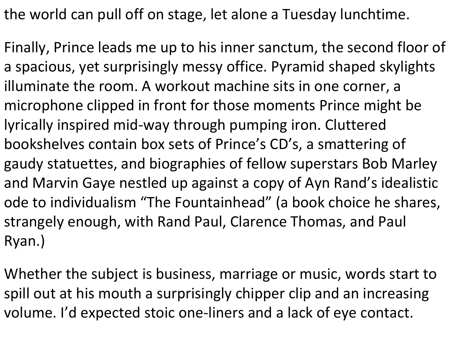the world can pull off on stage, let alone a Tuesday lunchtime.

Finally, Prince leads me up to his inner sanctum, the second floor of a spacious, yet surprisingly messy office. Pyramid shaped skylights illuminate the room. A workout machine sits in one corner, a microphone clipped in front for those moments Prince might be lyrically inspired mid-way through pumping iron. Cluttered bookshelves contain box sets of Prince's CD's, a smattering of gaudy statuettes, and biographies of fellow superstars Bob Marley and Marvin Gaye nestled up against a copy of Ayn Rand's idealistic ode to individualism "The Fountainhead" (a book choice he shares, strangely enough, with Rand Paul, Clarence Thomas, and Paul Ryan.)

Whether the subject is business, marriage or music, words start to spill out at his mouth a surprisingly chipper clip and an increasing volume. I'd expected stoic one-liners and a lack of eye contact.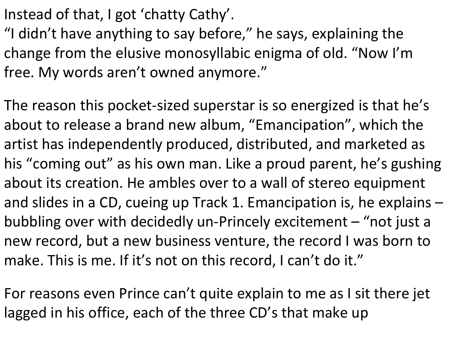Instead of that, I got 'chatty Cathy'.

"I didn't have anything to say before, " he says, explaining the change from the elusive monosyllabic enigma of old. "Now I'm free. My words aren't owned anymore."

The reason this pocket-sized superstar is so energized is that he's about to release a brand new album, "Emancipation" , which the artist has independently produced, distributed, and marketed as his "coming out" as his own man. Like a proud parent, he's gushing about its creation. He ambles over to a wall of stereo equipment and slides in a CD, cueing up Track 1. Emancipation is, he explains – bubbling over with decidedly un-Princely excitement – "not just a new record, but a new business venture, the record I was born to make. This is me. If it's not on this record, I can't do it."

For reasons even Prince can't quite explain to me as I sit there jet lagged in his office, each of the three CD's that make up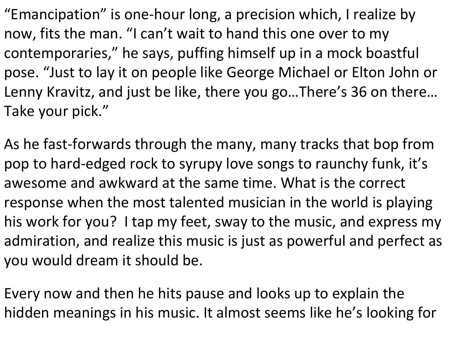"Emancipation" is one-hour long, a precision which, I realize by now, fits the man. "I can't wait to hand this one over to my contemporaries, " he says, puffing himself up in a mock boastful pose. "Just to lay it on people like George Michael or Elton John or Lenny Kravitz, and just be like, there you go…There's 36 on there… Take your pick."

As he fast-forwards through the many, many tracks that bop from pop to hard-edged rock to syrupy love songs to raunchy funk, it's awesome and awkward at the same time. What is the correct response when the most talented musician in the world is playing his work for you? I tap my feet, sway to the music, and express my admiration, and realize this music is just as powerful and perfect as you would dream it should be.

Every now and then he hits pause and looks up to explain the hidden meanings in his music. It almost seems like he's looking for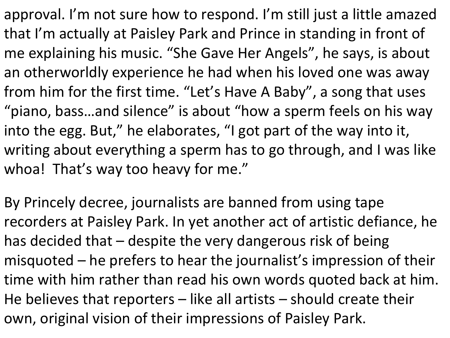approval. I'm not sure how to respond. I'm still just a little amazed that I'm actually at Paisley Park and Prince in standing in front of me explaining his music. "She Gave Her Angels" , he says, is about an otherworldly experience he had when his loved one was away from him for the first time. "Let's Have A Baby" , a song that uses "piano, bass…and silence" is about "how a sperm feels on his way into the egg. But," he elaborates, "I got part of the way into it, writing about everything a sperm has to go through, and I was like whoa! That's way too heavy for me."

By Princely decree, journalists are banned from using tape recorders at Paisley Park. In yet another act of artistic defiance, he has decided that – despite the very dangerous risk of being misquoted – he prefers to hear the journalist's impression of their time with him rather than read his own words quoted back at him. He believes that reporters – like all artists – should create their own, original vision of their impressions of Paisley Park.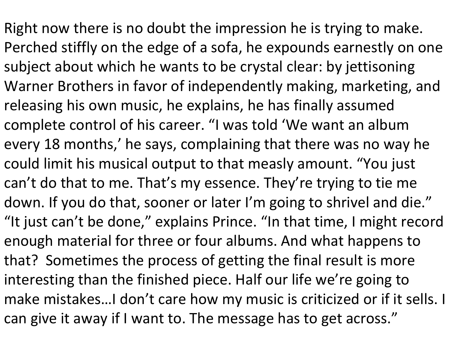Right now there is no doubt the impression he is trying to make. Perched stiffly on the edge of a sofa, he expounds earnestly on one subject about which he wants to be crystal clear: by jettisoning Warner Brothers in favor of independently making, marketing, and releasing his own music, he explains, he has finally assumed complete control of his career. "I was told 'We want an album every 18 months, ' he says, complaining that there was no way he could limit his musical output to that measly amount. "You just can't do that to me. That's my essence. They're trying to tie me down. If you do that, sooner or later I'm going to shrivel and die." "It just can't be done, " explains Prince. "In that time, I might record enough material for three or four albums. And what happens to that? Sometimes the process of getting the final result is more interesting than the finished piece. Half our life we're going to make mistakes…I don't care how my music is criticized or if it sells. I can give it away if I want to. The message has to get across."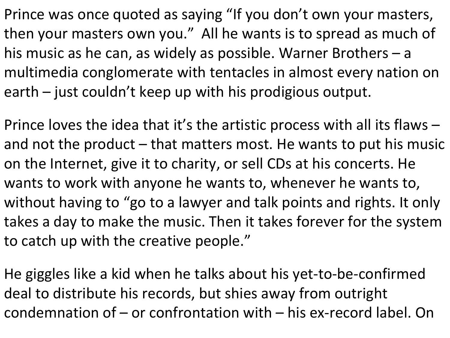Prince was once quoted as saying "If you don't own your masters, then your masters own you." All he wants is to spread as much of his music as he can, as widely as possible. Warner Brothers – a multimedia conglomerate with tentacles in almost every nation on earth – just couldn't keep up with his prodigious output.

Prince loves the idea that it's the artistic process with all its flaws – and not the product – that matters most. He wants to put his music on the Internet, give it to charity, or sell CDs at his concerts. He wants to work with anyone he wants to, whenever he wants to, without having to "go to a lawyer and talk points and rights. It only takes a day to make the music. Then it takes forever for the system to catch up with the creative people."

He giggles like a kid when he talks about his yet-to-be-confirmed deal to distribute his records, but shies away from outright condemnation of – or confrontation with – his ex-record label. On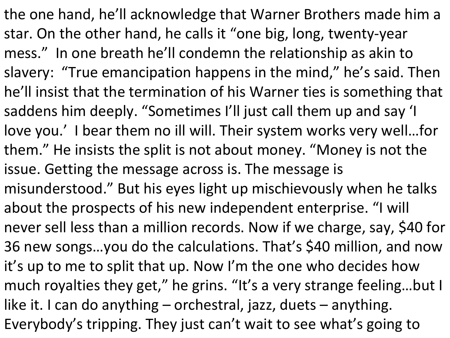the one hand, he'll acknowledge that Warner Brothers made him a star. On the other hand, he calls it "one big, long, twenty-year mess." In one breath he'll condemn the relationship as akin to slavery: "True emancipation happens in the mind, " he's said. Then he'll insist that the termination of his Warner ties is something that saddens him deeply. "Sometimes I'll just call them up and say 'I love you.' I bear them no ill will. Their system works very well…for them." He insists the split is not about money. "Money is not the issue. Getting the message across is. The message is misunderstood." But his eyes light up mischievously when he talks about the prospects of his new independent enterprise. "I will never sell less than a million records. Now if we charge, say, \$40 for 36 new songs…you do the calculations. That's \$40 million, and now it's up to me to split that up. Now I'm the one who decides how much royalties they get, " he grins. "It's a very strange feeling…but I like it. I can do anything – orchestral, jazz, duets – anything. Everybody's tripping. They just can't wait to see what's going to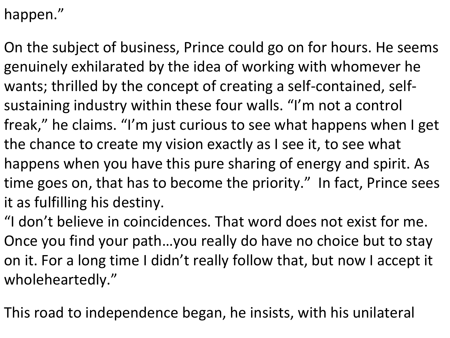happen."

On the subject of business, Prince could go on for hours. He seems genuinely exhilarated by the idea of working with whomever he wants; thrilled by the concept of creating a self-contained, selfsustaining industry within these four walls. "I'm not a control freak, " he claims. "I'm just curious to see what happens when I get the chance to create my vision exactly as I see it, to see what happens when you have this pure sharing of energy and spirit. As time goes on, that has to become the priority." In fact, Prince sees it as fulfilling his destiny.

"I don't believe in coincidences. That word does not exist for me. Once you find your path…you really do have no choice but to stay on it. For a long time I didn't really follow that, but now I accept it wholeheartedly."

This road to independence began, he insists, with his unilateral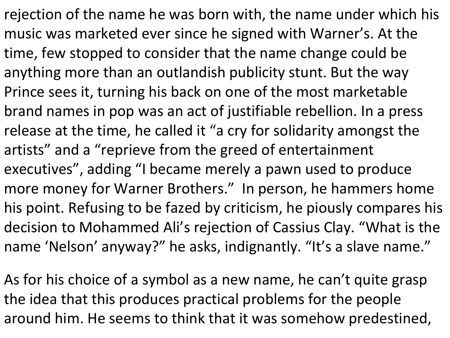rejection of the name he was born with, the name under which his music was marketed ever since he signed with Warner's. At the time, few stopped to consider that the name change could be anything more than an outlandish publicity stunt. But the way Prince sees it, turning his back on one of the most marketable brand names in pop was an act of justifiable rebellion. In a press release at the time, he called it "a cry for solidarity amongst the artists" and a "reprieve from the greed of entertainment executives" , adding "I became merely a pawn used to produce more money for Warner Brothers." In person, he hammers home his point. Refusing to be fazed by criticism, he piously compares his decision to Mohammed Ali's rejection of Cassius Clay. "What is the name 'Nelson' anyway?" he asks, indignantly. "It's a slave name."

As for his choice of a symbol as a new name, he can't quite grasp the idea that this produces practical problems for the people around him. He seems to think that it was somehow predestined,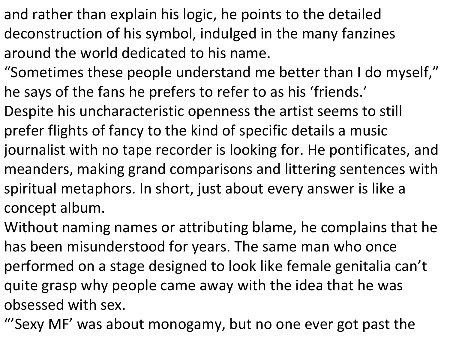- and rather than explain his logic, he points to the detailed deconstruction of his symbol, indulged in the many fanzines around the world dedicated to his name.
- "Sometimes these people understand me better than I do myself, " he says of the fans he prefers to refer to as his 'friends.'
- Despite his uncharacteristic openness the artist seems to still prefer flights of fancy to the kind of specific details a music journalist with no tape recorder is looking for. He pontificates, and meanders, making grand comparisons and littering sentences with spiritual metaphors. In short, just about every answer is like a concept album.
- Without naming names or attributing blame, he complains that he has been misunderstood for years. The same man who once performed on a stage designed to look like female genitalia can't quite grasp why people came away with the idea that he was obsessed with sex.
- "'Sexy MF' was about monogamy, but no one ever got past the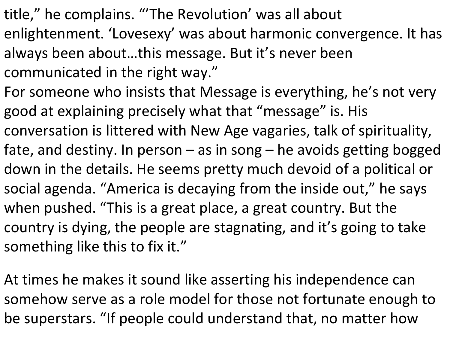- title, " he complains. "'The Revolution' was all about enlightenment. 'Lovesexy' was about harmonic convergence. It has always been about…this message. But it's never been communicated in the right way."
- For someone who insists that Message is everything, he's not very good at explaining precisely what that "message" is. His conversation is littered with New Age vagaries, talk of spirituality, fate, and destiny. In person  $-$  as in song  $-$  he avoids getting bogged down in the details. He seems pretty much devoid of a political or social agenda. "America is decaying from the inside out, " he says when pushed. "This is a great place, a great country. But the country is dying, the people are stagnating, and it's going to take something like this to fix it."
- At times he makes it sound like asserting his independence can somehow serve as a role model for those not fortunate enough to be superstars. "If people could understand that, no matter how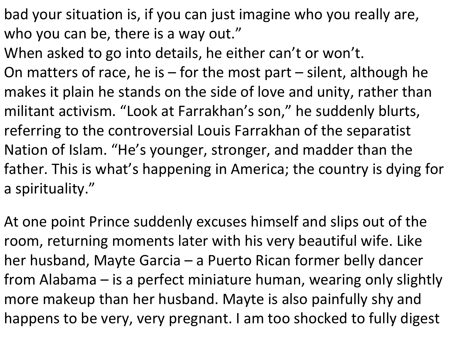- bad your situation is, if you can just imagine who you really are, who you can be, there is a way out."
- When asked to go into details, he either can't or won't.
- On matters of race, he is  $-$  for the most part  $-$  silent, although he makes it plain he stands on the side of love and unity, rather than militant activism. "Look at Farrakhan's son, " he suddenly blurts, referring to the controversial Louis Farrakhan of the separatist Nation of Islam. "He's younger, stronger, and madder than the father. This is what's happening in America; the country is dying for a spirituality."
- At one point Prince suddenly excuses himself and slips out of the room, returning moments later with his very beautiful wife. Like her husband, Mayte Garcia – a Puerto Rican former belly dancer from Alabama – is a perfect miniature human, wearing only slightly more makeup than her husband. Mayte is also painfully shy and happens to be very, very pregnant. I am too shocked to fully digest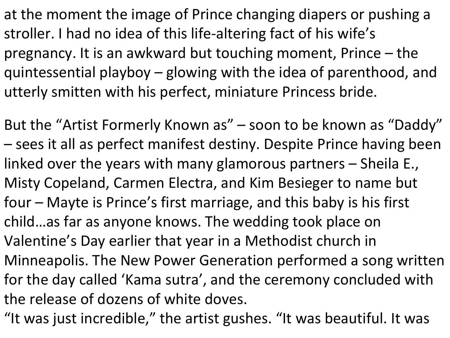at the moment the image of Prince changing diapers or pushing a stroller. I had no idea of this life-altering fact of his wife's pregnancy. It is an awkward but touching moment, Prince – the quintessential playboy – glowing with the idea of parenthood, and utterly smitten with his perfect, miniature Princess bride.

But the "Artist Formerly Known as" – soon to be known as "Daddy" – sees it all as perfect manifest destiny. Despite Prince having been linked over the years with many glamorous partners – Sheila E., Misty Copeland, Carmen Electra, and Kim Besieger to name but four – Mayte is Prince's first marriage, and this baby is his first child…as far as anyone knows. The wedding took place on Valentine's Day earlier that year in a Methodist church in Minneapolis. The New Power Generation performed a song written for the day called 'Kama sutra' , and the ceremony concluded with the release of dozens of white doves.

"It was just incredible, " the artist gushes. "It was beautiful. It was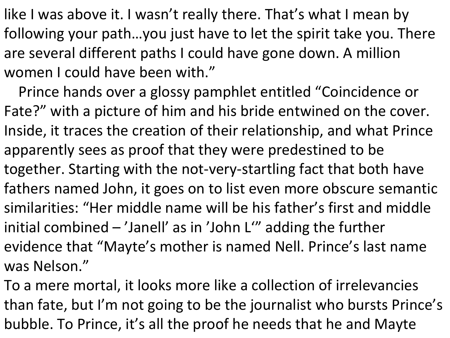like I was above it. I wasn't really there. That's what I mean by following your path…you just have to let the spirit take you. There are several different paths I could have gone down. A million women I could have been with."

Prince hands over a glossy pamphlet entitled "Coincidence or Fate?" with a picture of him and his bride entwined on the cover. Inside, it traces the creation of their relationship, and what Prince apparently sees as proof that they were predestined to be together. Starting with the not-very-startling fact that both have fathers named John, it goes on to list even more obscure semantic similarities: "Her middle name will be his father's first and middle initial combined – 'Janell' as in 'John L'" adding the further evidence that "Mayte's mother is named Nell. Prince's last name was Nelson."

To a mere mortal, it looks more like a collection of irrelevancies than fate, but I'm not going to be the journalist who bursts Prince's bubble. To Prince, it's all the proof he needs that he and Mayte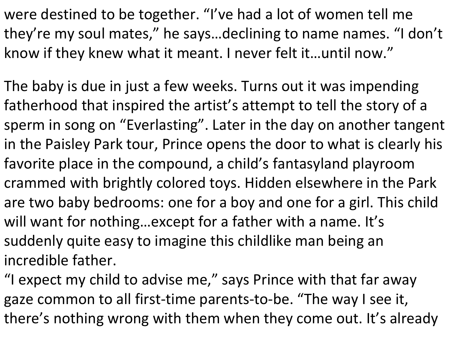were destined to be together. "I've had a lot of women tell me they're my soul mates, " he says…declining to name names. "I don't know if they knew what it meant. I never felt it…until now."

The baby is due in just a few weeks. Turns out it was impending fatherhood that inspired the artist's attempt to tell the story of a sperm in song on "Everlasting". Later in the day on another tangent in the Paisley Park tour, Prince opens the door to what is clearly his favorite place in the compound, a child's fantasyland playroom crammed with brightly colored toys. Hidden elsewhere in the Park are two baby bedrooms: one for a boy and one for a girl. This child will want for nothing…except for a father with a name. It's suddenly quite easy to imagine this childlike man being an incredible father.

"I expect my child to advise me," says Prince with that far away gaze common to all first-time parents-to-be. "The way I see it, there's nothing wrong with them when they come out. It's already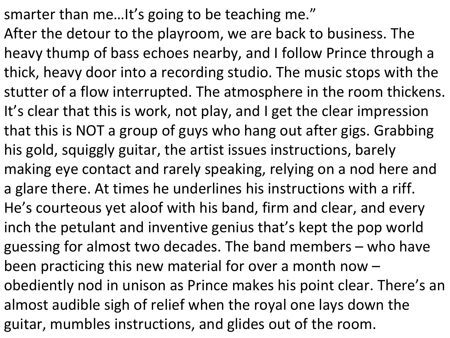smarter than me…It's going to be teaching me."

After the detour to the playroom, we are back to business. The heavy thump of bass echoes nearby, and I follow Prince through a thick, heavy door into a recording studio. The music stops with the stutter of a flow interrupted. The atmosphere in the room thickens. It's clear that this is work, not play, and I get the clear impression that this is NOT a group of guys who hang out after gigs. Grabbing his gold, squiggly guitar, the artist issues instructions, barely making eye contact and rarely speaking, relying on a nod here and a glare there. At times he underlines his instructions with a riff. He's courteous yet aloof with his band, firm and clear, and every inch the petulant and inventive genius that's kept the pop world guessing for almost two decades. The band members – who have been practicing this new material for over a month now – obediently nod in unison as Prince makes his point clear. There's an almost audible sigh of relief when the royal one lays down the guitar, mumbles instructions, and glides out of the room.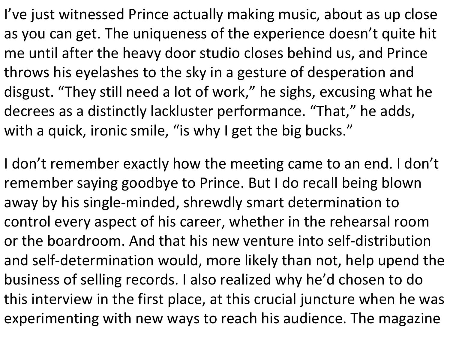I've just witnessed Prince actually making music, about as up close as you can get. The uniqueness of the experience doesn't quite hit me until after the heavy door studio closes behind us, and Prince throws his eyelashes to the sky in a gesture of desperation and disgust. "They still need a lot of work, " he sighs, excusing what he decrees as a distinctly lackluster performance. "That, " he adds, with a quick, ironic smile, "is why I get the big bucks."

I don't remember exactly how the meeting came to an end. I don't remember saying goodbye to Prince. But I do recall being blown away by his single-minded, shrewdly smart determination to control every aspect of his career, whether in the rehearsal room or the boardroom. And that his new venture into self-distribution and self-determination would, more likely than not, help upend the business of selling records. I also realized why he'd chosen to do this interview in the first place, at this crucial juncture when he was experimenting with new ways to reach his audience. The magazine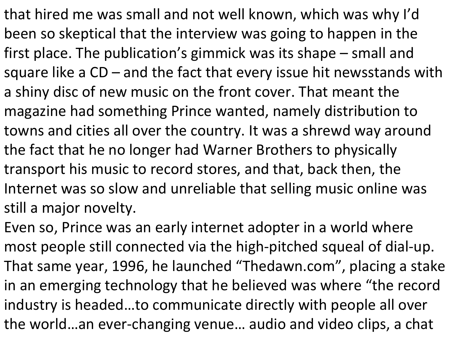that hired me was small and not well known, which was why I'd been so skeptical that the interview was going to happen in the first place. The publication's gimmick was its shape – small and square like a CD – and the fact that every issue hit newsstands with a shiny disc of new music on the front cover. That meant the magazine had something Prince wanted, namely distribution to towns and cities all over the country. It was a shrewd way around the fact that he no longer had Warner Brothers to physically transport his music to record stores, and that, back then, the Internet was so slow and unreliable that selling music online was still a major novelty.

Even so, Prince was an early internet adopter in a world where most people still connected via the high-pitched squeal of dial-up. That same year, 1996, he launched "Thedawn.com" , placing a stake in an emerging technology that he believed was where "the record industry is headed…to communicate directly with people all over the world…an ever-changing venue… audio and video clips, a chat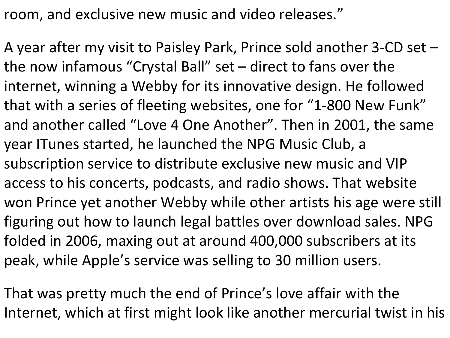room, and exclusive new music and video releases."

A year after my visit to Paisley Park, Prince sold another 3-CD set – the now infamous "Crystal Ball" set – direct to fans over the internet, winning a Webby for its innovative design. He followed that with a series of fleeting websites, one for "1-800 New Funk" and another called "Love 4 One Another". Then in 2001, the same year ITunes started, he launched the NPG Music Club, a subscription service to distribute exclusive new music and VIP access to his concerts, podcasts, and radio shows. That website won Prince yet another Webby while other artists his age were still figuring out how to launch legal battles over download sales. NPG folded in 2006, maxing out at around 400,000 subscribers at its peak, while Apple's service was selling to 30 million users.

That was pretty much the end of Prince's love affair with the Internet, which at first might look like another mercurial twist in his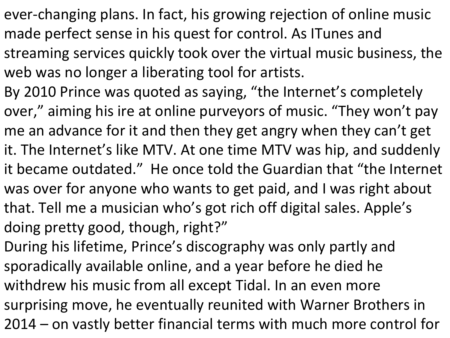- ever-changing plans. In fact, his growing rejection of online music made perfect sense in his quest for control. As ITunes and streaming services quickly took over the virtual music business, the web was no longer a liberating tool for artists.
- By 2010 Prince was quoted as saying, "the Internet's completely over, " aiming his ire at online purveyors of music. "They won't pay me an advance for it and then they get angry when they can't get it. The Internet's like MTV. At one time MTV was hip, and suddenly it became outdated." He once told the Guardian that "the Internet was over for anyone who wants to get paid, and I was right about that. Tell me a musician who's got rich off digital sales. Apple's doing pretty good, though, right?"
- During his lifetime, Prince's discography was only partly and sporadically available online, and a year before he died he withdrew his music from all except Tidal. In an even more surprising move, he eventually reunited with Warner Brothers in 2014 – on vastly better financial terms with much more control for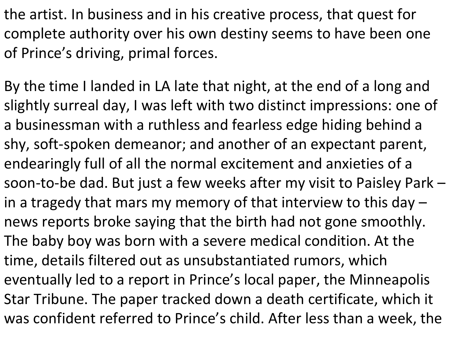the artist. In business and in his creative process, that quest for complete authority over his own destiny seems to have been one of Prince's driving, primal forces.

By the time I landed in LA late that night, at the end of a long and slightly surreal day, I was left with two distinct impressions: one of a businessman with a ruthless and fearless edge hiding behind a shy, soft-spoken demeanor; and another of an expectant parent, endearingly full of all the normal excitement and anxieties of a soon-to-be dad. But just a few weeks after my visit to Paisley Park – in a tragedy that mars my memory of that interview to this day  $$ news reports broke saying that the birth had not gone smoothly. The baby boy was born with a severe medical condition. At the time, details filtered out as unsubstantiated rumors, which eventually led to a report in Prince's local paper, the Minneapolis Star Tribune. The paper tracked down a death certificate, which it was confident referred to Prince's child. After less than a week, the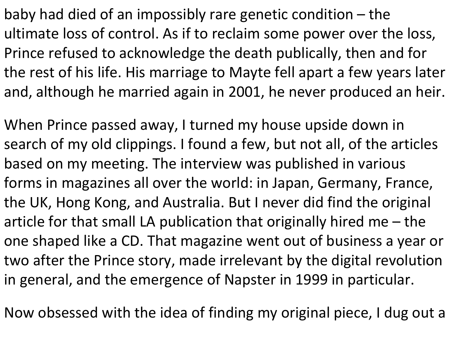baby had died of an impossibly rare genetic condition – the ultimate loss of control. As if to reclaim some power over the loss, Prince refused to acknowledge the death publically, then and for the rest of his life. His marriage to Mayte fell apart a few years later and, although he married again in 2001, he never produced an heir.

When Prince passed away, I turned my house upside down in search of my old clippings. I found a few, but not all, of the articles based on my meeting. The interview was published in various forms in magazines all over the world: in Japan, Germany, France, the UK, Hong Kong, and Australia. But I never did find the original article for that small LA publication that originally hired me – the one shaped like a CD. That magazine went out of business a year or two after the Prince story, made irrelevant by the digital revolution in general, and the emergence of Napster in 1999 in particular.

Now obsessed with the idea of finding my original piece, I dug out a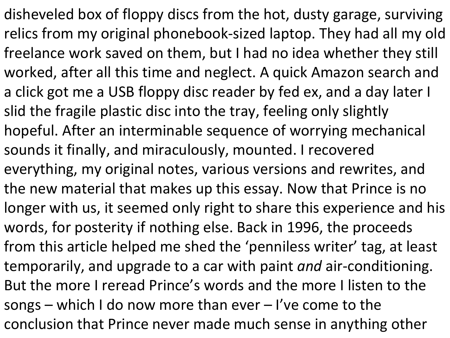disheveled box of floppy discs from the hot, dusty garage, surviving relics from my original phonebook-sized laptop. They had all my old freelance work saved on them, but I had no idea whether they still worked, after all this time and neglect. A quick Amazon search and a click got me a USB floppy disc reader by fed ex, and a day later I slid the fragile plastic disc into the tray, feeling only slightly hopeful. After an interminable sequence of worrying mechanical sounds it finally, and miraculously, mounted. I recovered everything, my original notes, various versions and rewrites, and the new material that makes up this essay. Now that Prince is no longer with us, it seemed only right to share this experience and his words, for posterity if nothing else. Back in 1996, the proceeds from this article helped me shed the 'penniless writer' tag, at least temporarily, and upgrade to a car with paint *and* air-conditioning. But the more I reread Prince's words and the more I listen to the songs – which I do now more than ever – I've come to the conclusion that Prince never made much sense in anything other